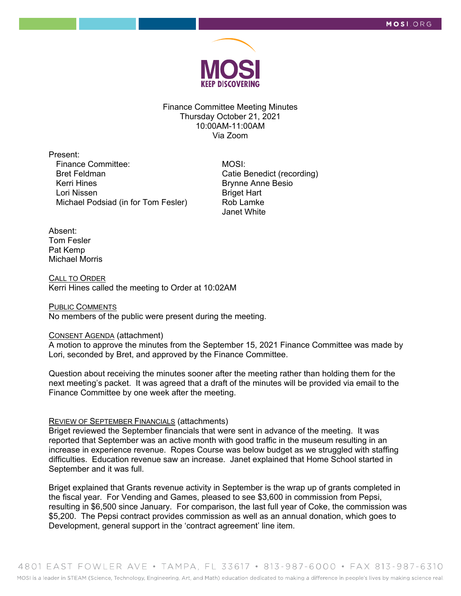

Finance Committee Meeting Minutes Thursday October 21, 2021 10:00AM-11:00AM Via Zoom

Present: Finance Committee: Bret Feldman Kerri Hines Lori Nissen Michael Podsiad (in for Tom Fesler)

 MOSI: Catie Benedict (recording) Brynne Anne Besio Briget Hart Rob Lamke Janet White

Absent: Tom Fesler Pat Kemp Michael Morris

CALL TO ORDER Kerri Hines called the meeting to Order at 10:02AM

PUBLIC COMMENTS No members of the public were present during the meeting.

#### CONSENT AGENDA (attachment)

A motion to approve the minutes from the September 15, 2021 Finance Committee was made by Lori, seconded by Bret, and approved by the Finance Committee.

Question about receiving the minutes sooner after the meeting rather than holding them for the next meeting's packet. It was agreed that a draft of the minutes will be provided via email to the Finance Committee by one week after the meeting.

#### REVIEW OF SEPTEMBER FINANCIALS (attachments)

Briget reviewed the September financials that were sent in advance of the meeting. It was reported that September was an active month with good traffic in the museum resulting in an increase in experience revenue. Ropes Course was below budget as we struggled with staffing difficulties. Education revenue saw an increase. Janet explained that Home School started in September and it was full.

Briget explained that Grants revenue activity in September is the wrap up of grants completed in the fiscal year. For Vending and Games, pleased to see \$3,600 in commission from Pepsi, resulting in \$6,500 since January. For comparison, the last full year of Coke, the commission was \$5,200. The Pepsi contract provides commission as well as an annual donation, which goes to Development, general support in the 'contract agreement' line item.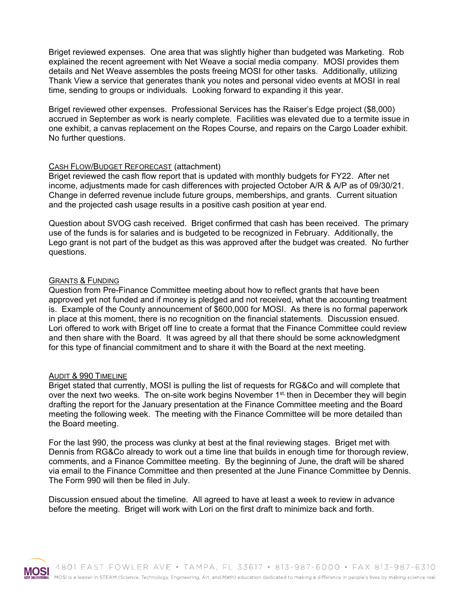Briget reviewed expenses. One area that was slightly higher than budgeted was Marketing. Rob explained the recent agreement with Net Weave a social media company. MOSI provides them details and Net Weave assembles the posts freeing MOSI for other tasks. Additionally, utilizing Thank View a service that generates thank you notes and personal video events at MOSI in real time, sending to groups or individuals. Looking forward to expanding it this year.

Briget reviewed other expenses. Professional Services has the Raiser's Edge project (\$8,000) accrued in September as work is nearly complete. Facilities was elevated due to a termite issue in one exhibit, a canvas replacement on the Ropes Course, and repairs on the Cargo Loader exhibit. No further questions.

### CASH FLOW/BUDGET REFORECAST (attachment)

Briget reviewed the cash flow report that is updated with monthly budgets for FY22. After net income, adjustments made for cash differences with projected October A/R & A/P as of 09/30/21. Change in deferred revenue include future groups, memberships, and grants. Current situation and the projected cash usage results in a positive cash position at year end.

Question about SVOG cash received. Briget confirmed that cash has been received. The primary use of the funds is for salaries and is budgeted to be recognized in February. Additionally, the Lego grant is not part of the budget as this was approved after the budget was created. No further questions.

# GRANTS & FUNDING

Question from Pre-Finance Committee meeting about how to reflect grants that have been approved yet not funded and if money is pledged and not received, what the accounting treatment is. Example of the County announcement of \$600,000 for MOSI. As there is no formal paperwork in place at this moment, there is no recognition on the financial statements. Discussion ensued. Lori offered to work with Briget off line to create a format that the Finance Committee could review and then share with the Board. It was agreed by all that there should be some acknowledgment for this type of financial commitment and to share it with the Board at the next meeting.

### AUDIT & 990 TIMELINE

Briget stated that currently, MOSI is pulling the list of requests for RG&Co and will complete that over the next two weeks. The on-site work begins November 1<sup>st,</sup> then in December they will begin drafting the report for the January presentation at the Finance Committee meeting and the Board meeting the following week. The meeting with the Finance Committee will be more detailed than the Board meeting.

For the last 990, the process was clunky at best at the final reviewing stages. Briget met with Dennis from RG&Co already to work out a time line that builds in enough time for thorough review, comments, and a Finance Committee meeting. By the beginning of June, the draft will be shared via email to the Finance Committee and then presented at the June Finance Committee by Dennis. The Form 990 will then be filed in July.

Discussion ensued about the timeline. All agreed to have at least a week to review in advance before the meeting. Briget will work with Lori on the first draft to minimize back and forth.